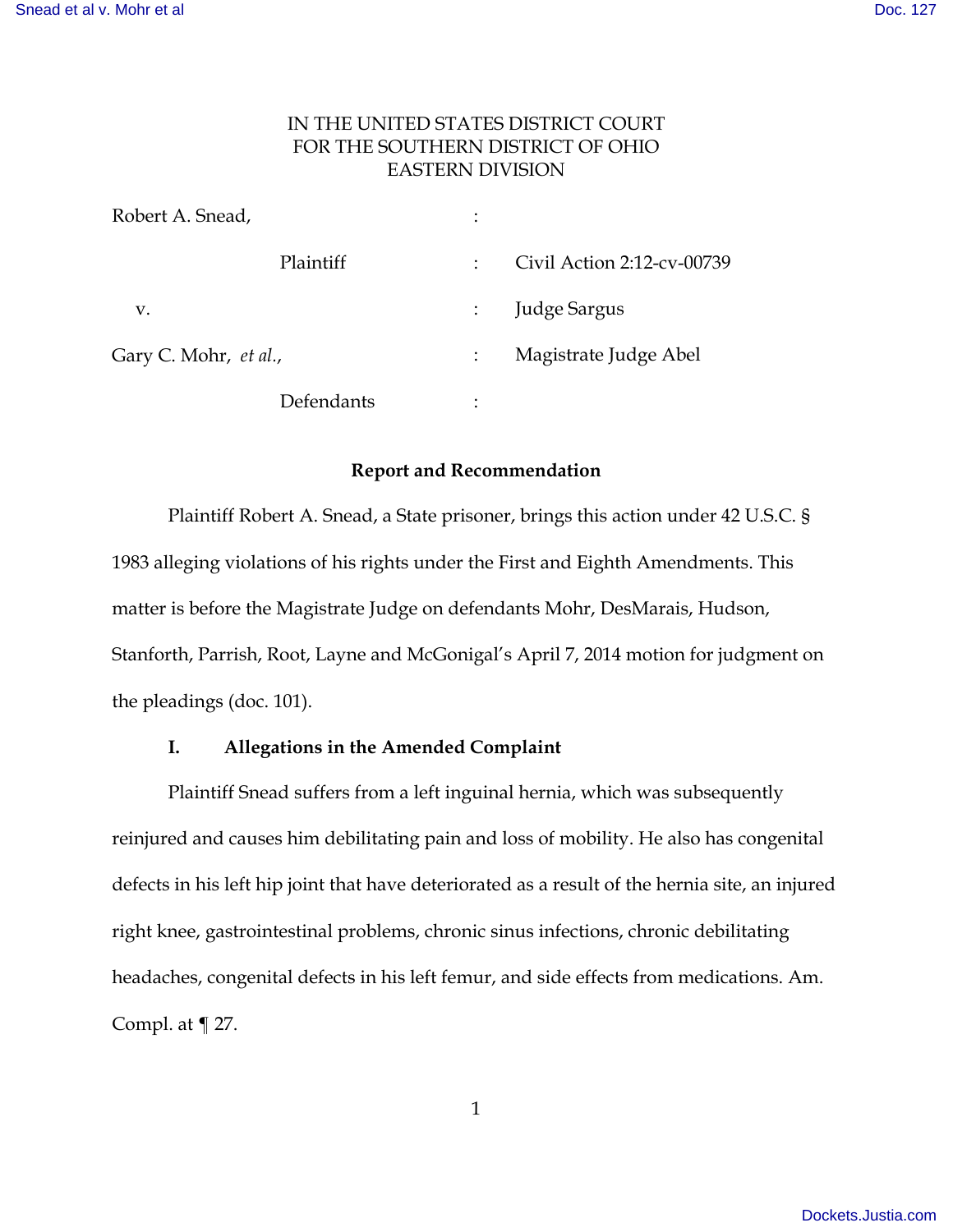# IN THE UNITED STATES DISTRICT COURT FOR THE SOUTHERN DISTRICT OF OHIO EASTERN DIVISION

| Robert A. Snead,      |            | $\vdots$       |                            |
|-----------------------|------------|----------------|----------------------------|
| Plaintiff             |            |                | Civil Action 2:12-cv-00739 |
| V.                    |            |                | Judge Sargus               |
| Gary C. Mohr, et al., |            |                | Magistrate Judge Abel      |
|                       | Defendants | ٠<br>$\bullet$ |                            |

# **Report and Recommendation**

 Plaintiff Robert A. Snead, a State prisoner, brings this action under 42 U.S.C. § 1983 alleging violations of his rights under the First and Eighth Amendments. This matter is before the Magistrate Judge on defendants Mohr, DesMarais, Hudson, Stanforth, Parrish, Root, Layne and McGonigal's April 7, 2014 motion for judgment on the pleadings (doc. 101).

# **I. Allegations in the Amended Complaint**

Plaintiff Snead suffers from a left inguinal hernia, which was subsequently reinjured and causes him debilitating pain and loss of mobility. He also has congenital defects in his left hip joint that have deteriorated as a result of the hernia site, an injured right knee, gastrointestinal problems, chronic sinus infections, chronic debilitating headaches, congenital defects in his left femur, and side effects from medications. Am. Compl. at ¶ 27.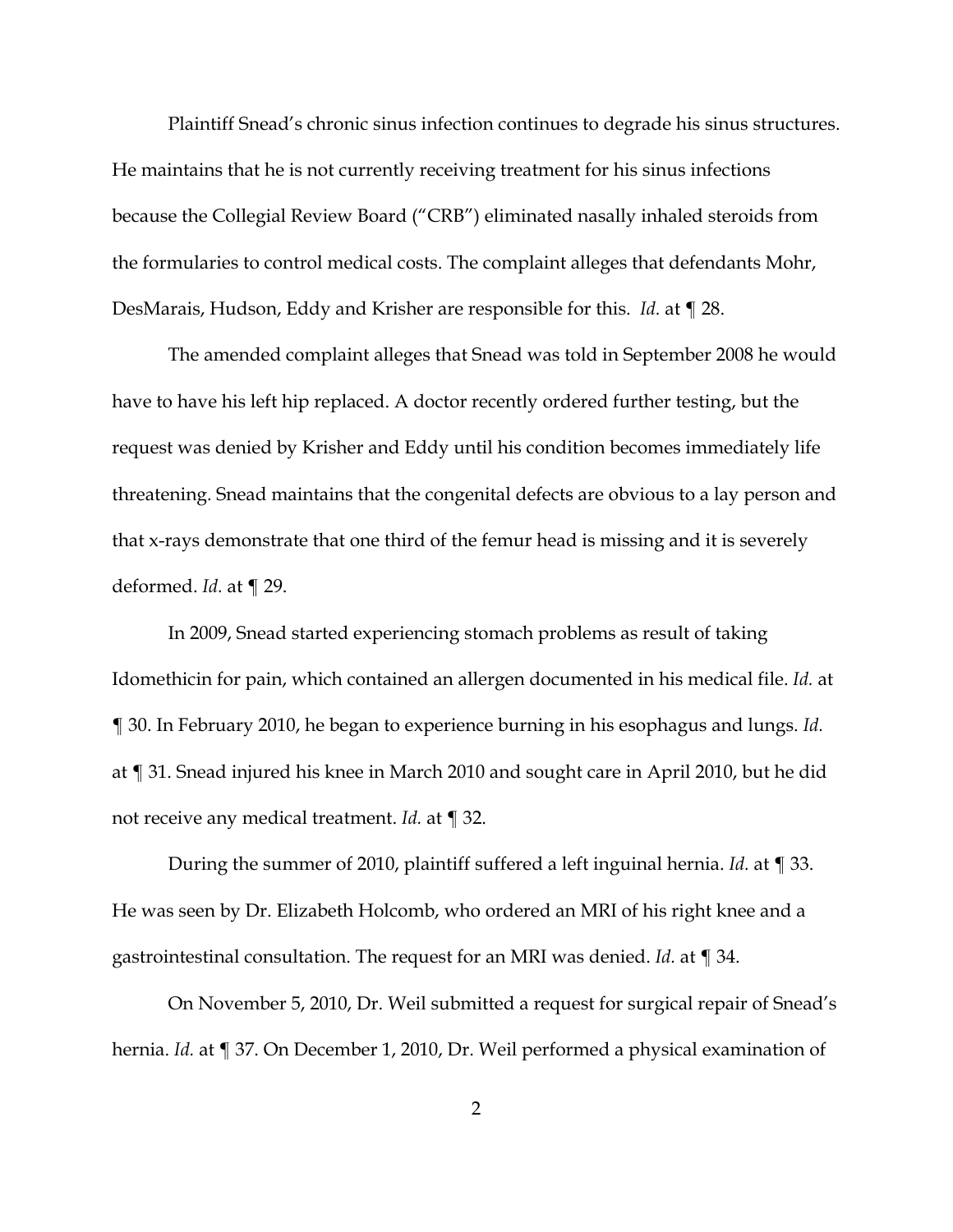Plaintiff Snead's chronic sinus infection continues to degrade his sinus structures. He maintains that he is not currently receiving treatment for his sinus infections because the Collegial Review Board ("CRB") eliminated nasally inhaled steroids from the formularies to control medical costs. The complaint alleges that defendants Mohr, DesMarais, Hudson, Eddy and Krisher are responsible for this. *Id.* at ¶ 28.

The amended complaint alleges that Snead was told in September 2008 he would have to have his left hip replaced. A doctor recently ordered further testing, but the request was denied by Krisher and Eddy until his condition becomes immediately life threatening. Snead maintains that the congenital defects are obvious to a lay person and that x-rays demonstrate that one third of the femur head is missing and it is severely deformed. *Id.* at ¶ 29.

In 2009, Snead started experiencing stomach problems as result of taking Idomethicin for pain, which contained an allergen documented in his medical file. *Id.* at ¶ 30. In February 2010, he began to experience burning in his esophagus and lungs. *Id.* at ¶ 31. Snead injured his knee in March 2010 and sought care in April 2010, but he did not receive any medical treatment. *Id.* at ¶ 32.

During the summer of 2010, plaintiff suffered a left inguinal hernia. *Id.* at ¶ 33. He was seen by Dr. Elizabeth Holcomb, who ordered an MRI of his right knee and a gastrointestinal consultation. The request for an MRI was denied. *Id.* at ¶ 34.

On November 5, 2010, Dr. Weil submitted a request for surgical repair of Snead's hernia. *Id.* at ¶ 37. On December 1, 2010, Dr. Weil performed a physical examination of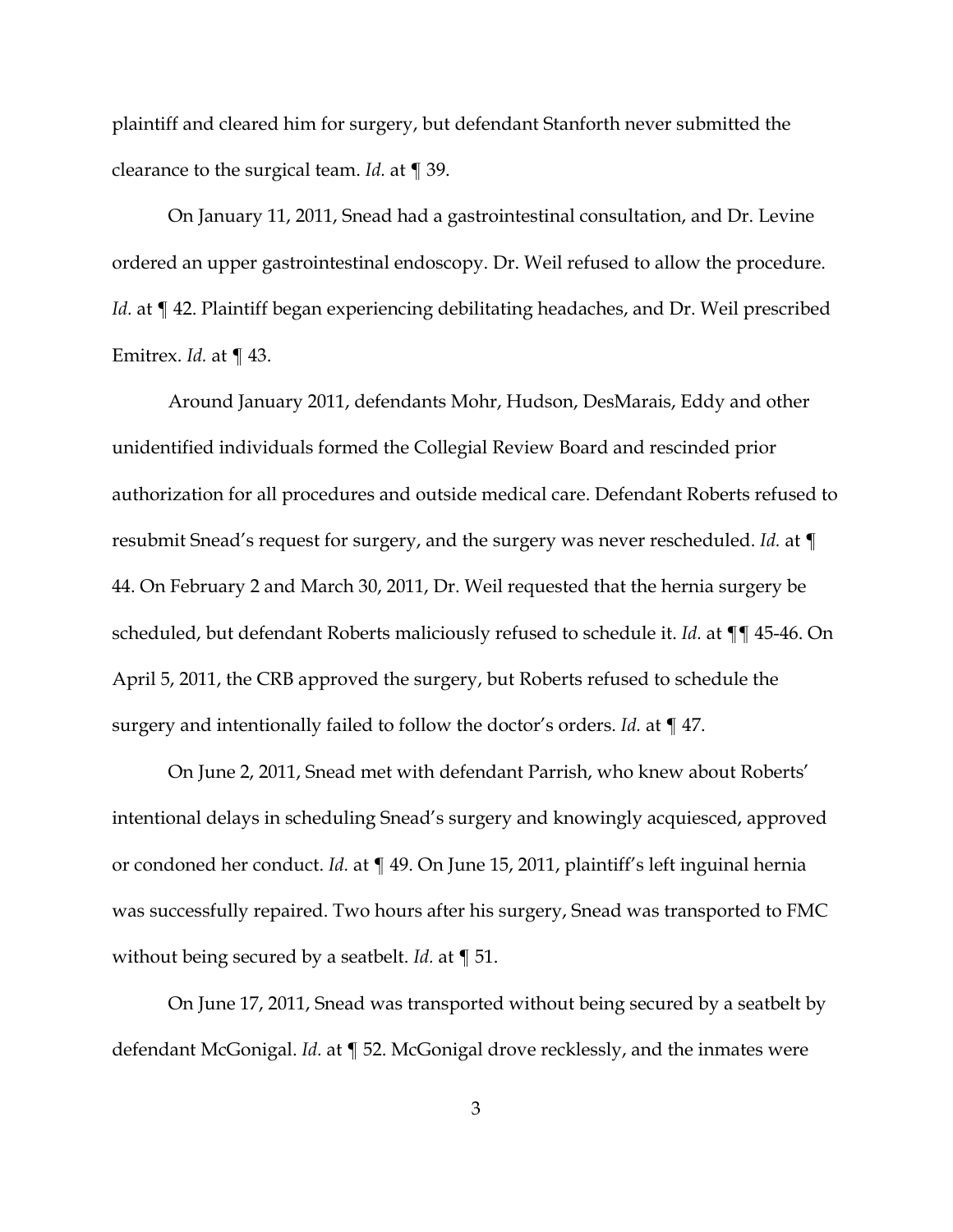plaintiff and cleared him for surgery, but defendant Stanforth never submitted the clearance to the surgical team. *Id.* at ¶ 39.

On January 11, 2011, Snead had a gastrointestinal consultation, and Dr. Levine ordered an upper gastrointestinal endoscopy. Dr. Weil refused to allow the procedure. Id. at  $\P$  42. Plaintiff began experiencing debilitating headaches, and Dr. Weil prescribed Emitrex. *Id.* at ¶ 43.

Around January 2011, defendants Mohr, Hudson, DesMarais, Eddy and other unidentified individuals formed the Collegial Review Board and rescinded prior authorization for all procedures and outside medical care. Defendant Roberts refused to resubmit Snead's request for surgery, and the surgery was never rescheduled. *Id.* at ¶ 44. On February 2 and March 30, 2011, Dr. Weil requested that the hernia surgery be scheduled, but defendant Roberts maliciously refused to schedule it. *Id.* at ¶¶ 45-46. On April 5, 2011, the CRB approved the surgery, but Roberts refused to schedule the surgery and intentionally failed to follow the doctor's orders. *Id.* at ¶ 47.

On June 2, 2011, Snead met with defendant Parrish, who knew about Roberts' intentional delays in scheduling Snead's surgery and knowingly acquiesced, approved or condoned her conduct. *Id.* at ¶ 49. On June 15, 2011, plaintiff's left inguinal hernia was successfully repaired. Two hours after his surgery, Snead was transported to FMC without being secured by a seatbelt. *Id.* at ¶ 51.

On June 17, 2011, Snead was transported without being secured by a seatbelt by defendant McGonigal. *Id.* at ¶ 52. McGonigal drove recklessly, and the inmates were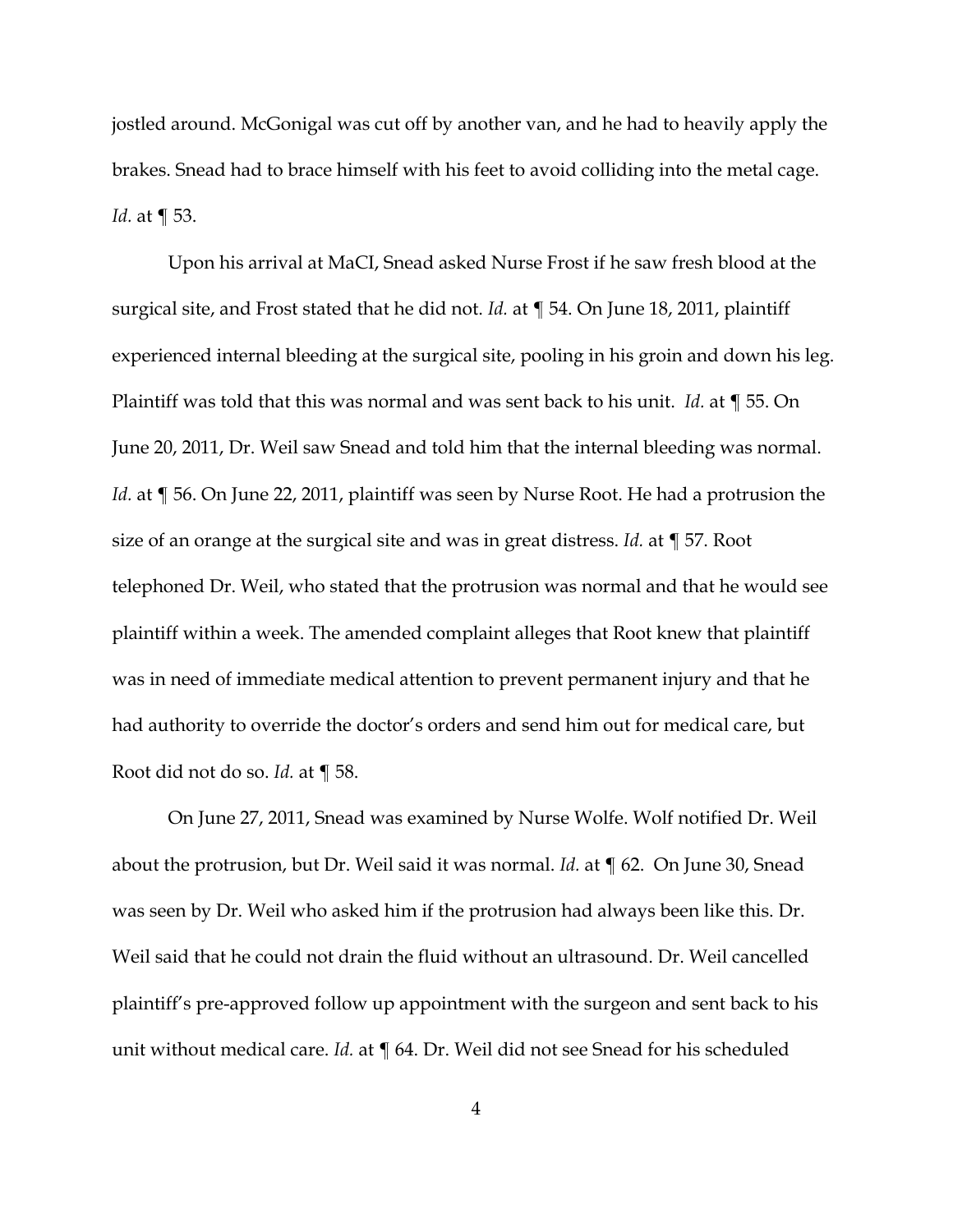jostled around. McGonigal was cut off by another van, and he had to heavily apply the brakes. Snead had to brace himself with his feet to avoid colliding into the metal cage. *Id.* at ¶ 53.

Upon his arrival at MaCI, Snead asked Nurse Frost if he saw fresh blood at the surgical site, and Frost stated that he did not. *Id.* at ¶ 54. On June 18, 2011, plaintiff experienced internal bleeding at the surgical site, pooling in his groin and down his leg. Plaintiff was told that this was normal and was sent back to his unit. *Id.* at ¶ 55. On June 20, 2011, Dr. Weil saw Snead and told him that the internal bleeding was normal. *Id.* at ¶ 56. On June 22, 2011, plaintiff was seen by Nurse Root. He had a protrusion the size of an orange at the surgical site and was in great distress. *Id.* at ¶ 57. Root telephoned Dr. Weil, who stated that the protrusion was normal and that he would see plaintiff within a week. The amended complaint alleges that Root knew that plaintiff was in need of immediate medical attention to prevent permanent injury and that he had authority to override the doctor's orders and send him out for medical care, but Root did not do so. *Id.* at ¶ 58.

On June 27, 2011, Snead was examined by Nurse Wolfe. Wolf notified Dr. Weil about the protrusion, but Dr. Weil said it was normal. *Id.* at ¶ 62. On June 30, Snead was seen by Dr. Weil who asked him if the protrusion had always been like this. Dr. Weil said that he could not drain the fluid without an ultrasound. Dr. Weil cancelled plaintiff's pre-approved follow up appointment with the surgeon and sent back to his unit without medical care. *Id.* at ¶ 64. Dr. Weil did not see Snead for his scheduled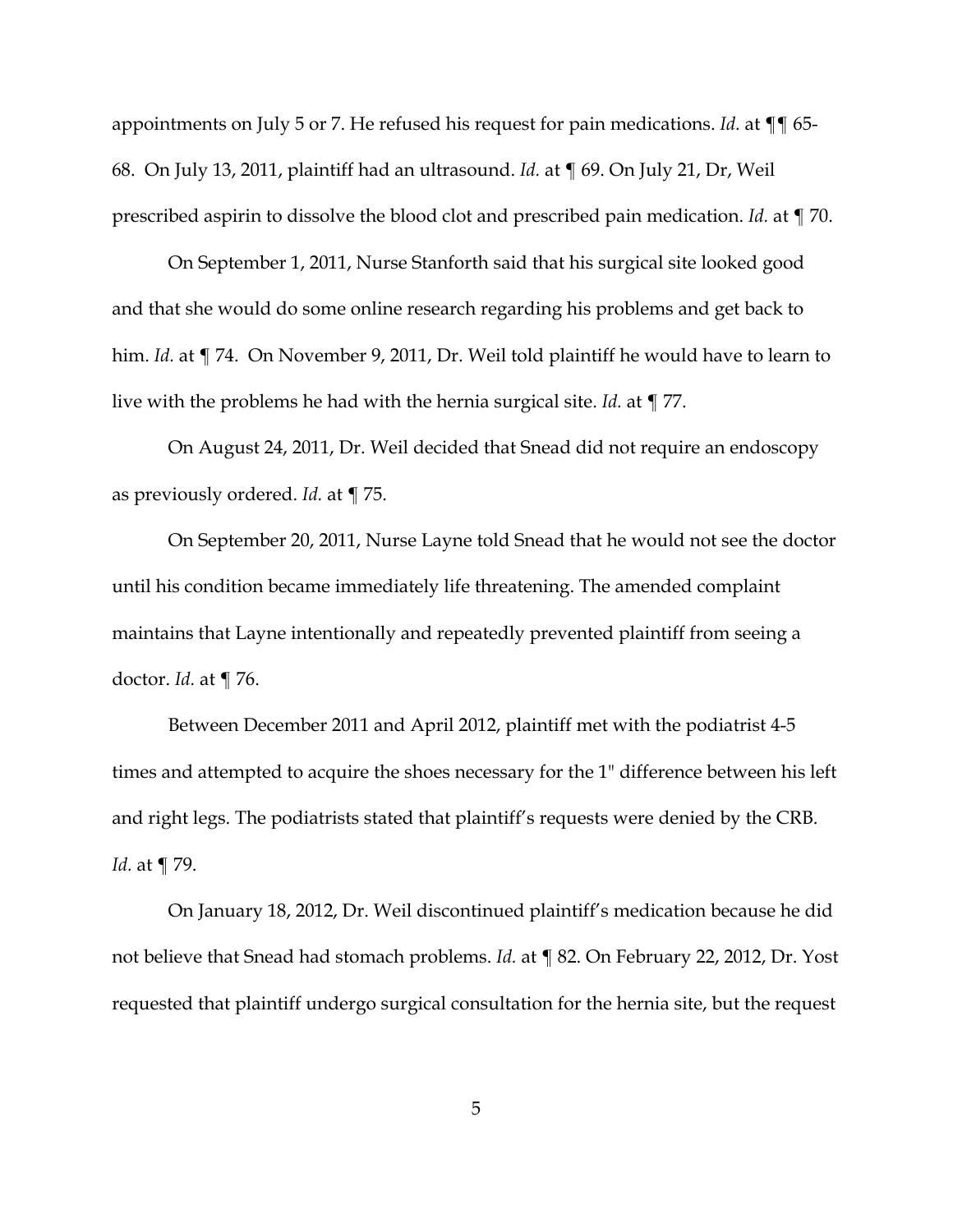appointments on July 5 or 7. He refused his request for pain medications. *Id.* at ¶¶ 65- 68. On July 13, 2011, plaintiff had an ultrasound. *Id.* at ¶ 69. On July 21, Dr, Weil prescribed aspirin to dissolve the blood clot and prescribed pain medication. *Id.* at ¶ 70.

On September 1, 2011, Nurse Stanforth said that his surgical site looked good and that she would do some online research regarding his problems and get back to him. *Id.* at ¶ 74. On November 9, 2011, Dr. Weil told plaintiff he would have to learn to live with the problems he had with the hernia surgical site. *Id.* at ¶ 77.

On August 24, 2011, Dr. Weil decided that Snead did not require an endoscopy as previously ordered. *Id.* at ¶ 75.

On September 20, 2011, Nurse Layne told Snead that he would not see the doctor until his condition became immediately life threatening. The amended complaint maintains that Layne intentionally and repeatedly prevented plaintiff from seeing a doctor. *Id.* at ¶ 76.

Between December 2011 and April 2012, plaintiff met with the podiatrist 4-5 times and attempted to acquire the shoes necessary for the 1" difference between his left and right legs. The podiatrists stated that plaintiff's requests were denied by the CRB. *Id.* at ¶ 79.

On January 18, 2012, Dr. Weil discontinued plaintiff's medication because he did not believe that Snead had stomach problems. *Id.* at ¶ 82. On February 22, 2012, Dr. Yost requested that plaintiff undergo surgical consultation for the hernia site, but the request

5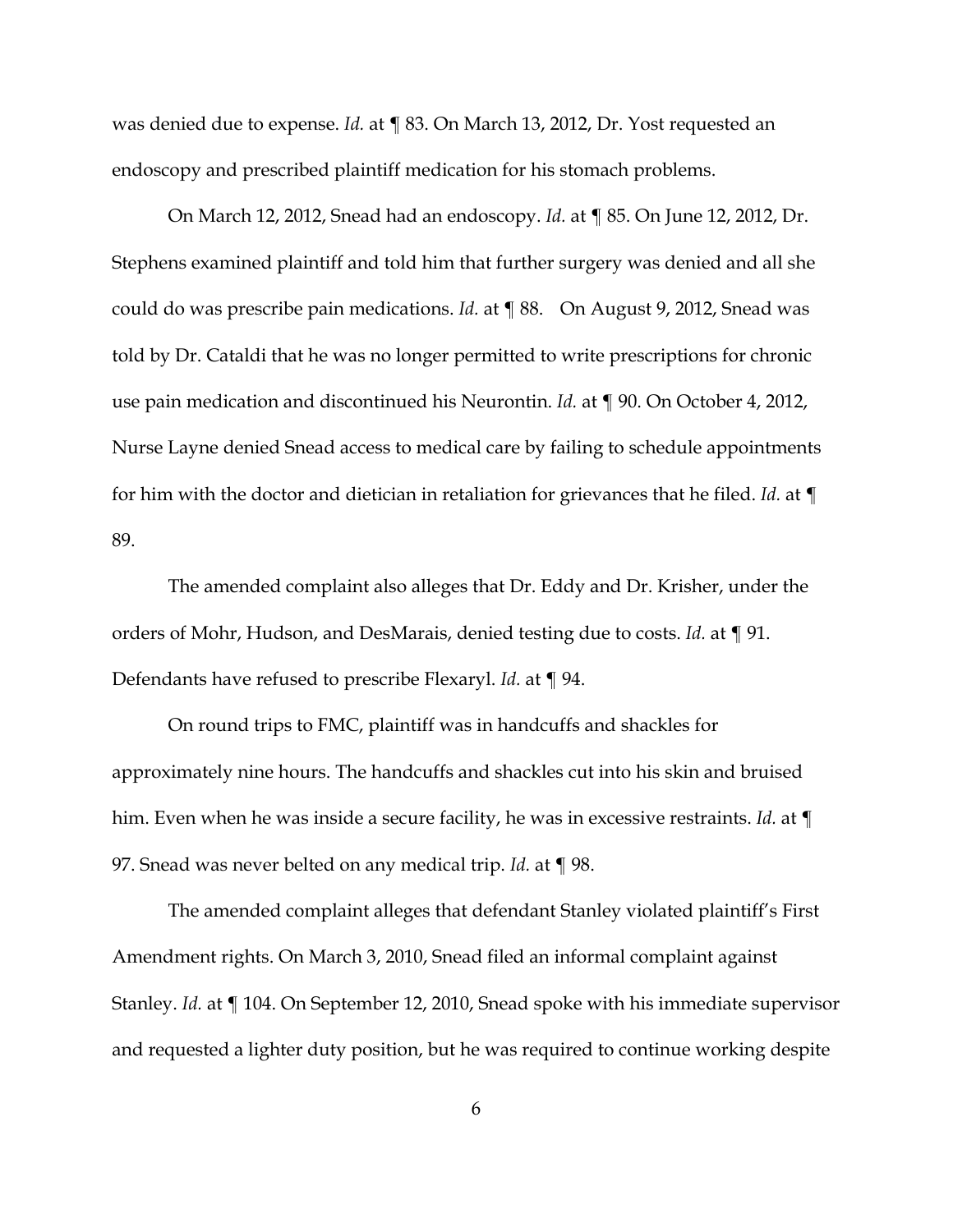was denied due to expense. *Id.* at ¶ 83. On March 13, 2012, Dr. Yost requested an endoscopy and prescribed plaintiff medication for his stomach problems.

On March 12, 2012, Snead had an endoscopy. *Id.* at ¶ 85. On June 12, 2012, Dr. Stephens examined plaintiff and told him that further surgery was denied and all she could do was prescribe pain medications. *Id.* at ¶ 88. On August 9, 2012, Snead was told by Dr. Cataldi that he was no longer permitted to write prescriptions for chronic use pain medication and discontinued his Neurontin. *Id.* at ¶ 90. On October 4, 2012, Nurse Layne denied Snead access to medical care by failing to schedule appointments for him with the doctor and dietician in retaliation for grievances that he filed. *Id.* at ¶ 89.

The amended complaint also alleges that Dr. Eddy and Dr. Krisher, under the orders of Mohr, Hudson, and DesMarais, denied testing due to costs. *Id.* at ¶ 91. Defendants have refused to prescribe Flexaryl. *Id.* at ¶ 94.

On round trips to FMC, plaintiff was in handcuffs and shackles for approximately nine hours. The handcuffs and shackles cut into his skin and bruised him. Even when he was inside a secure facility, he was in excessive restraints. *Id.* at ¶ 97. Snead was never belted on any medical trip. *Id.* at ¶ 98.

The amended complaint alleges that defendant Stanley violated plaintiff's First Amendment rights. On March 3, 2010, Snead filed an informal complaint against Stanley. *Id.* at ¶ 104. On September 12, 2010, Snead spoke with his immediate supervisor and requested a lighter duty position, but he was required to continue working despite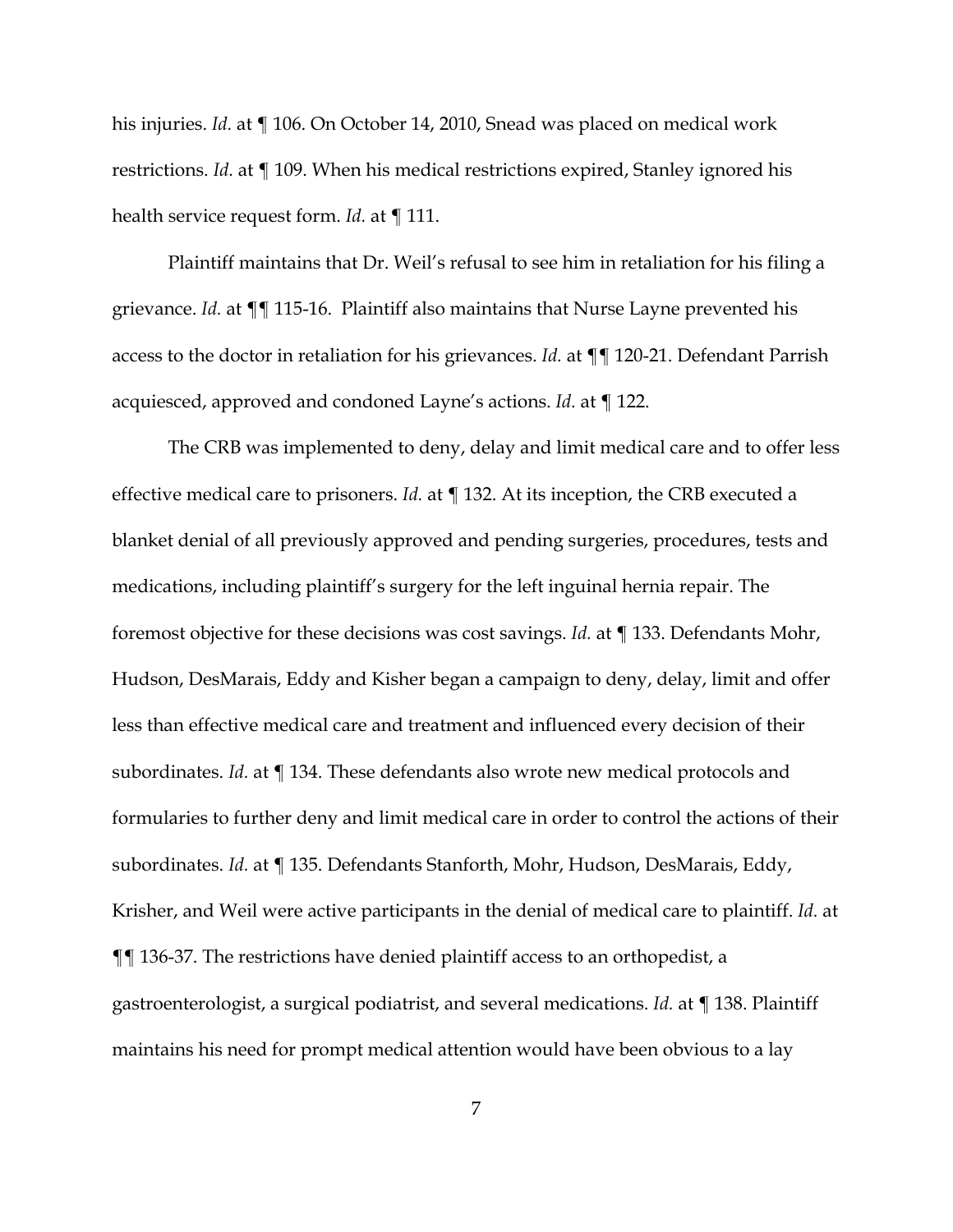his injuries. *Id.* at ¶ 106. On October 14, 2010, Snead was placed on medical work restrictions. *Id.* at ¶ 109. When his medical restrictions expired, Stanley ignored his health service request form. *Id.* at ¶ 111.

Plaintiff maintains that Dr. Weil's refusal to see him in retaliation for his filing a grievance. *Id.* at ¶¶ 115-16. Plaintiff also maintains that Nurse Layne prevented his access to the doctor in retaliation for his grievances. *Id.* at ¶¶ 120-21. Defendant Parrish acquiesced, approved and condoned Layne's actions. *Id.* at ¶ 122.

The CRB was implemented to deny, delay and limit medical care and to offer less effective medical care to prisoners. *Id.* at ¶ 132. At its inception, the CRB executed a blanket denial of all previously approved and pending surgeries, procedures, tests and medications, including plaintiff's surgery for the left inguinal hernia repair. The foremost objective for these decisions was cost savings. *Id.* at ¶ 133. Defendants Mohr, Hudson, DesMarais, Eddy and Kisher began a campaign to deny, delay, limit and offer less than effective medical care and treatment and influenced every decision of their subordinates. *Id.* at ¶ 134. These defendants also wrote new medical protocols and formularies to further deny and limit medical care in order to control the actions of their subordinates. *Id.* at ¶ 135. Defendants Stanforth, Mohr, Hudson, DesMarais, Eddy, Krisher, and Weil were active participants in the denial of medical care to plaintiff. *Id.* at ¶¶ 136-37. The restrictions have denied plaintiff access to an orthopedist, a gastroenterologist, a surgical podiatrist, and several medications. *Id.* at ¶ 138. Plaintiff maintains his need for prompt medical attention would have been obvious to a lay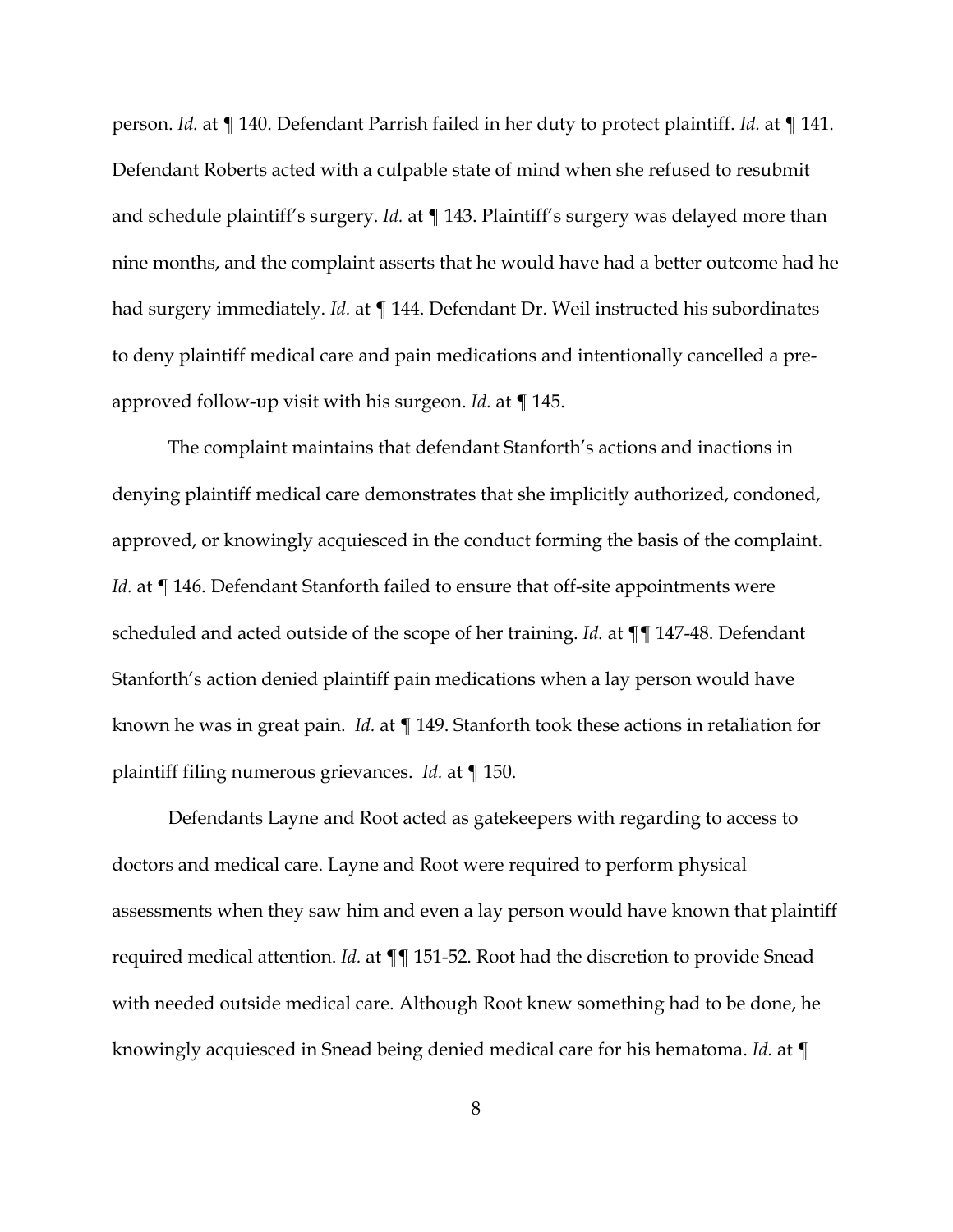person. *Id.* at ¶ 140. Defendant Parrish failed in her duty to protect plaintiff. *Id.* at ¶ 141. Defendant Roberts acted with a culpable state of mind when she refused to resubmit and schedule plaintiff's surgery. *Id.* at ¶ 143. Plaintiff's surgery was delayed more than nine months, and the complaint asserts that he would have had a better outcome had he had surgery immediately. *Id.* at ¶ 144. Defendant Dr. Weil instructed his subordinates to deny plaintiff medical care and pain medications and intentionally cancelled a preapproved follow-up visit with his surgeon. *Id.* at ¶ 145.

The complaint maintains that defendant Stanforth's actions and inactions in denying plaintiff medical care demonstrates that she implicitly authorized, condoned, approved, or knowingly acquiesced in the conduct forming the basis of the complaint. *Id.* at  $\P$  146. Defendant Stanforth failed to ensure that off-site appointments were scheduled and acted outside of the scope of her training. *Id.* at ¶¶ 147-48. Defendant Stanforth's action denied plaintiff pain medications when a lay person would have known he was in great pain. *Id.* at ¶ 149. Stanforth took these actions in retaliation for plaintiff filing numerous grievances. *Id.* at ¶ 150.

Defendants Layne and Root acted as gatekeepers with regarding to access to doctors and medical care. Layne and Root were required to perform physical assessments when they saw him and even a lay person would have known that plaintiff required medical attention. *Id.* at ¶¶ 151-52. Root had the discretion to provide Snead with needed outside medical care. Although Root knew something had to be done, he knowingly acquiesced in Snead being denied medical care for his hematoma. *Id.* at ¶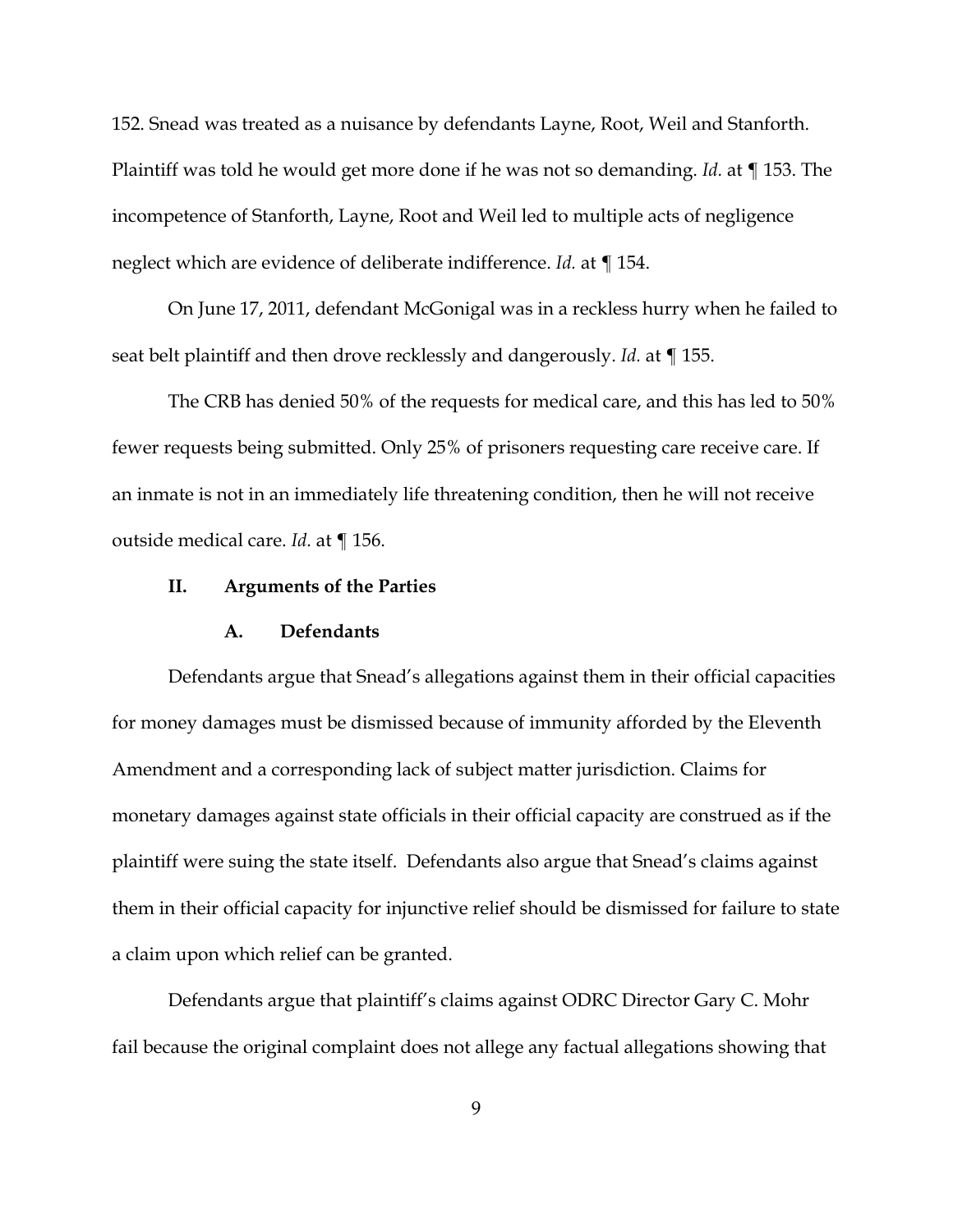152. Snead was treated as a nuisance by defendants Layne, Root, Weil and Stanforth. Plaintiff was told he would get more done if he was not so demanding. *Id.* at ¶ 153. The incompetence of Stanforth, Layne, Root and Weil led to multiple acts of negligence neglect which are evidence of deliberate indifference. *Id.* at ¶ 154.

On June 17, 2011, defendant McGonigal was in a reckless hurry when he failed to seat belt plaintiff and then drove recklessly and dangerously. *Id.* at ¶ 155.

The CRB has denied 50% of the requests for medical care, and this has led to 50% fewer requests being submitted. Only 25% of prisoners requesting care receive care. If an inmate is not in an immediately life threatening condition, then he will not receive outside medical care. *Id.* at ¶ 156.

### **II. Arguments of the Parties**

#### **A. Defendants**

Defendants argue that Snead's allegations against them in their official capacities for money damages must be dismissed because of immunity afforded by the Eleventh Amendment and a corresponding lack of subject matter jurisdiction. Claims for monetary damages against state officials in their official capacity are construed as if the plaintiff were suing the state itself. Defendants also argue that Snead's claims against them in their official capacity for injunctive relief should be dismissed for failure to state a claim upon which relief can be granted.

Defendants argue that plaintiff's claims against ODRC Director Gary C. Mohr fail because the original complaint does not allege any factual allegations showing that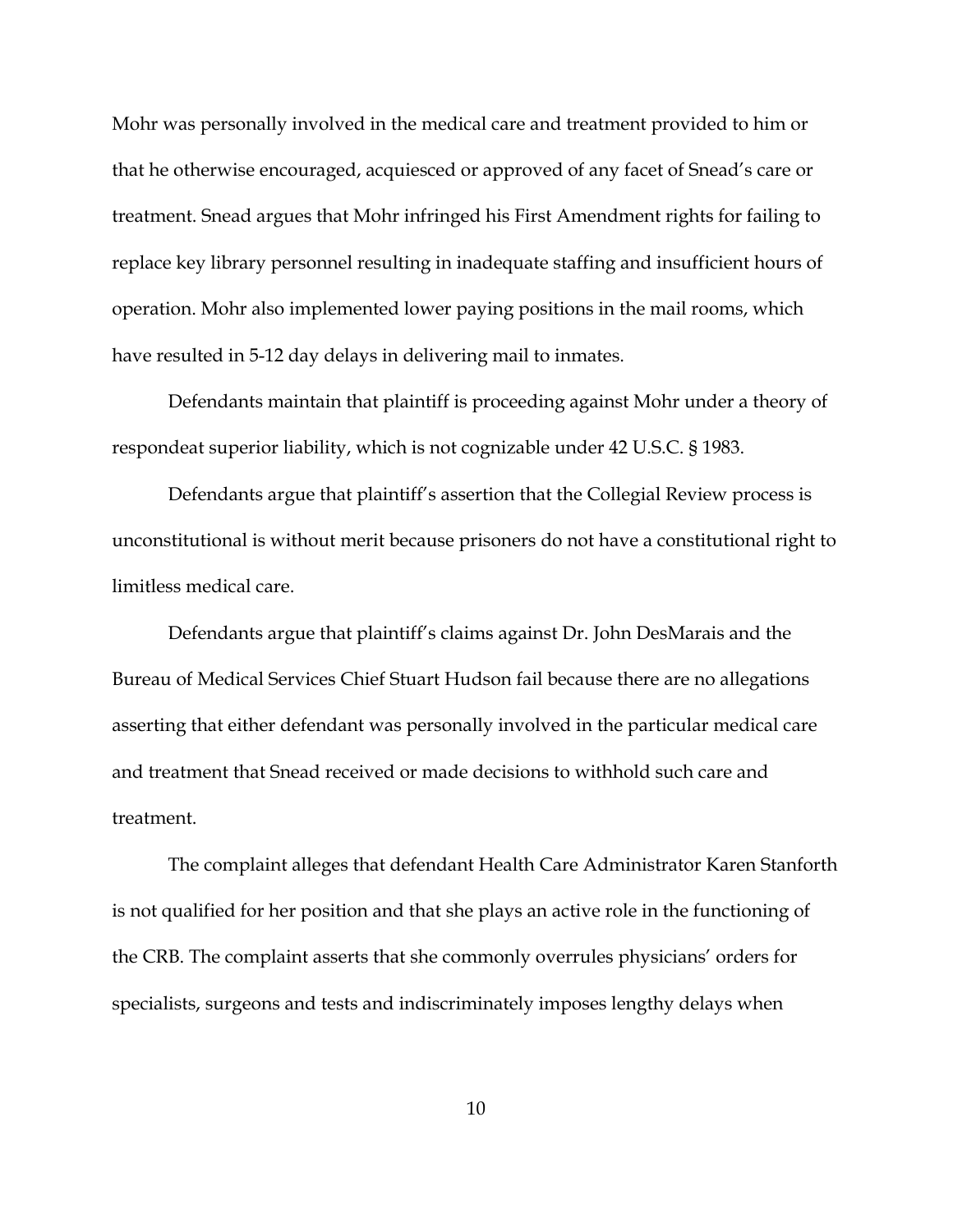Mohr was personally involved in the medical care and treatment provided to him or that he otherwise encouraged, acquiesced or approved of any facet of Snead's care or treatment. Snead argues that Mohr infringed his First Amendment rights for failing to replace key library personnel resulting in inadequate staffing and insufficient hours of operation. Mohr also implemented lower paying positions in the mail rooms, which have resulted in 5-12 day delays in delivering mail to inmates.

Defendants maintain that plaintiff is proceeding against Mohr under a theory of respondeat superior liability, which is not cognizable under 42 U.S.C. § 1983.

Defendants argue that plaintiff's assertion that the Collegial Review process is unconstitutional is without merit because prisoners do not have a constitutional right to limitless medical care.

Defendants argue that plaintiff's claims against Dr. John DesMarais and the Bureau of Medical Services Chief Stuart Hudson fail because there are no allegations asserting that either defendant was personally involved in the particular medical care and treatment that Snead received or made decisions to withhold such care and treatment.

The complaint alleges that defendant Health Care Administrator Karen Stanforth is not qualified for her position and that she plays an active role in the functioning of the CRB. The complaint asserts that she commonly overrules physicians' orders for specialists, surgeons and tests and indiscriminately imposes lengthy delays when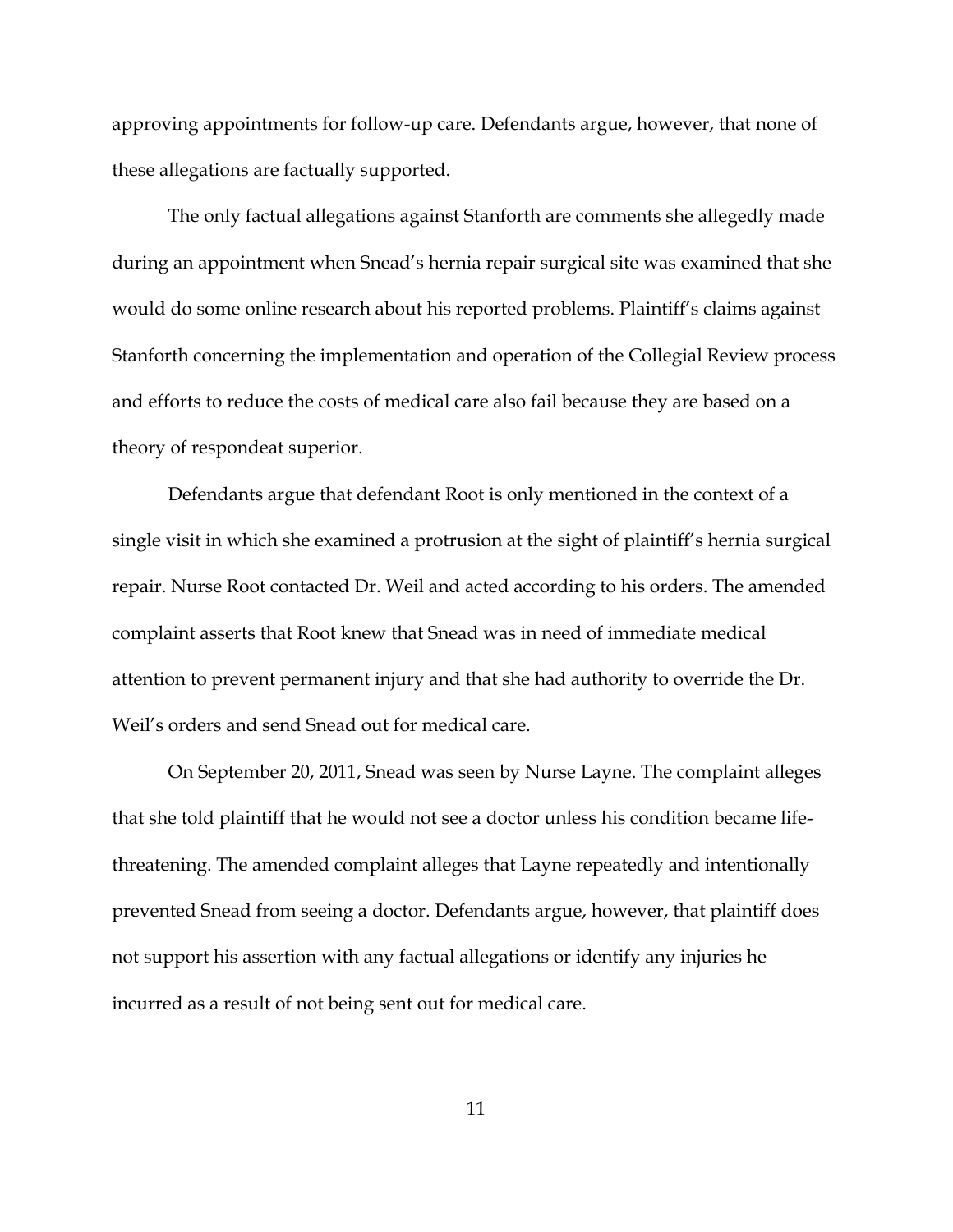approving appointments for follow-up care. Defendants argue, however, that none of these allegations are factually supported.

The only factual allegations against Stanforth are comments she allegedly made during an appointment when Snead's hernia repair surgical site was examined that she would do some online research about his reported problems. Plaintiff's claims against Stanforth concerning the implementation and operation of the Collegial Review process and efforts to reduce the costs of medical care also fail because they are based on a theory of respondeat superior.

Defendants argue that defendant Root is only mentioned in the context of a single visit in which she examined a protrusion at the sight of plaintiff's hernia surgical repair. Nurse Root contacted Dr. Weil and acted according to his orders. The amended complaint asserts that Root knew that Snead was in need of immediate medical attention to prevent permanent injury and that she had authority to override the Dr. Weil's orders and send Snead out for medical care.

On September 20, 2011, Snead was seen by Nurse Layne. The complaint alleges that she told plaintiff that he would not see a doctor unless his condition became lifethreatening. The amended complaint alleges that Layne repeatedly and intentionally prevented Snead from seeing a doctor. Defendants argue, however, that plaintiff does not support his assertion with any factual allegations or identify any injuries he incurred as a result of not being sent out for medical care.

11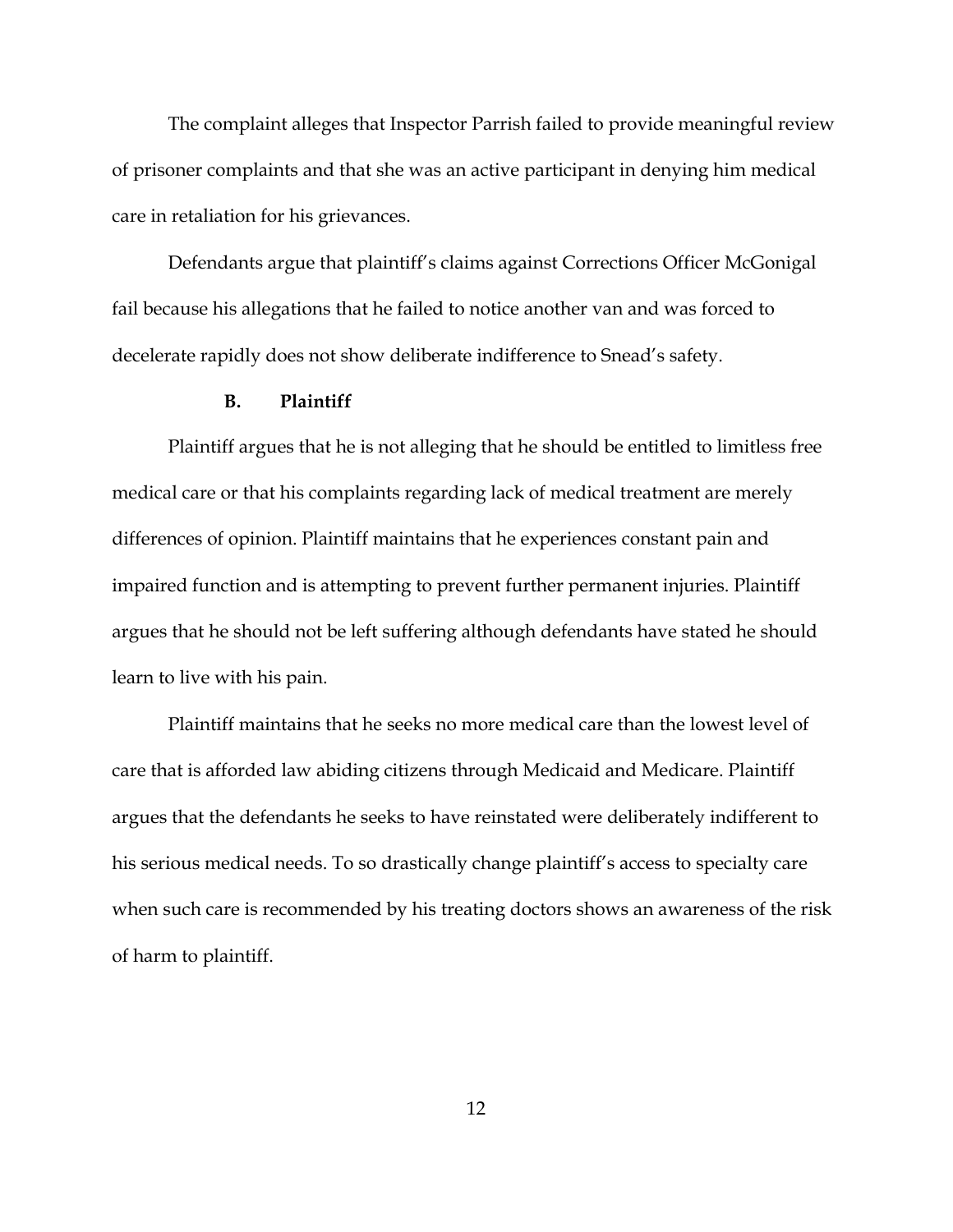The complaint alleges that Inspector Parrish failed to provide meaningful review of prisoner complaints and that she was an active participant in denying him medical care in retaliation for his grievances.

Defendants argue that plaintiff's claims against Corrections Officer McGonigal fail because his allegations that he failed to notice another van and was forced to decelerate rapidly does not show deliberate indifference to Snead's safety.

#### **B. Plaintiff**

Plaintiff argues that he is not alleging that he should be entitled to limitless free medical care or that his complaints regarding lack of medical treatment are merely differences of opinion. Plaintiff maintains that he experiences constant pain and impaired function and is attempting to prevent further permanent injuries. Plaintiff argues that he should not be left suffering although defendants have stated he should learn to live with his pain.

Plaintiff maintains that he seeks no more medical care than the lowest level of care that is afforded law abiding citizens through Medicaid and Medicare. Plaintiff argues that the defendants he seeks to have reinstated were deliberately indifferent to his serious medical needs. To so drastically change plaintiff's access to specialty care when such care is recommended by his treating doctors shows an awareness of the risk of harm to plaintiff.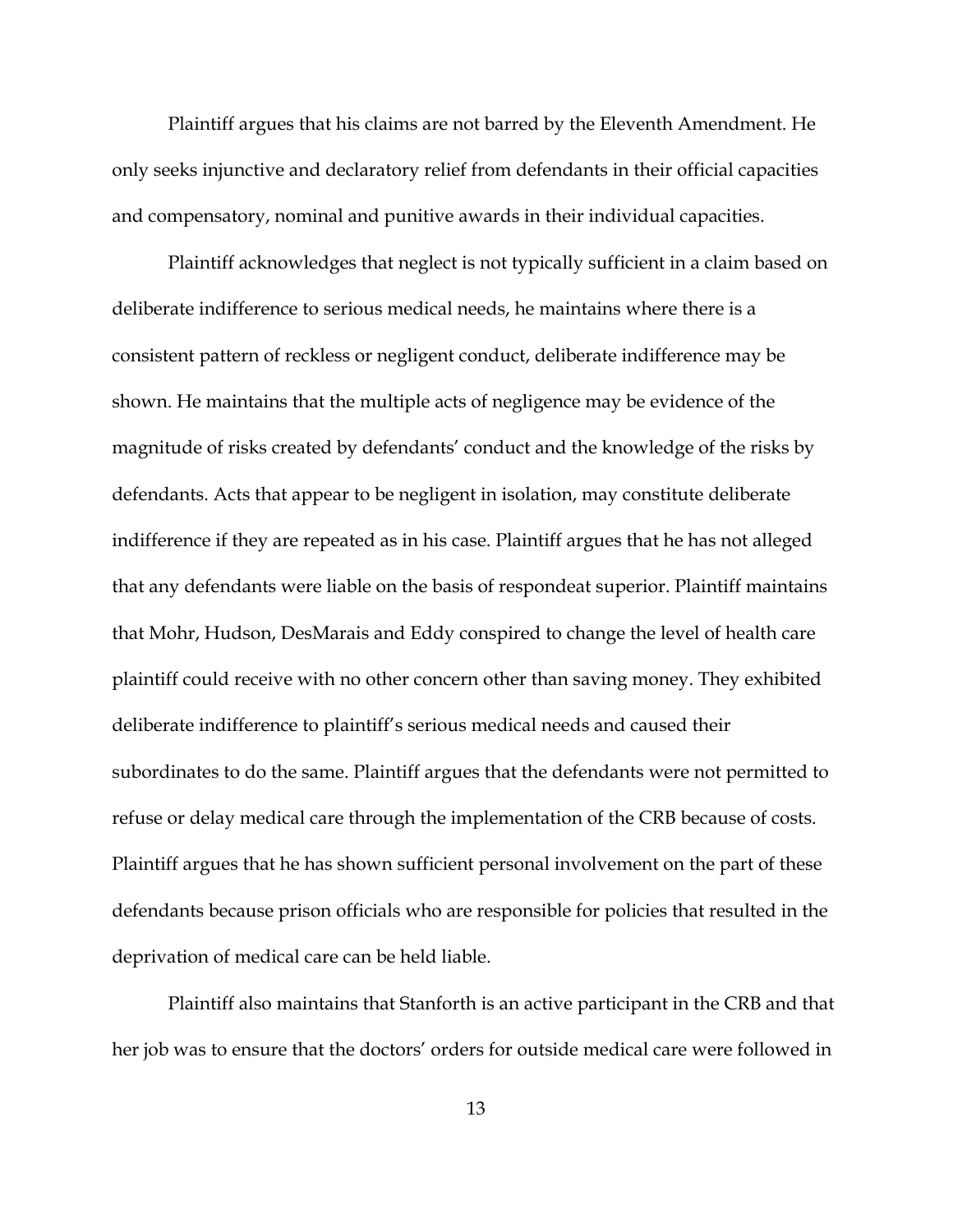Plaintiff argues that his claims are not barred by the Eleventh Amendment. He only seeks injunctive and declaratory relief from defendants in their official capacities and compensatory, nominal and punitive awards in their individual capacities.

Plaintiff acknowledges that neglect is not typically sufficient in a claim based on deliberate indifference to serious medical needs, he maintains where there is a consistent pattern of reckless or negligent conduct, deliberate indifference may be shown. He maintains that the multiple acts of negligence may be evidence of the magnitude of risks created by defendants' conduct and the knowledge of the risks by defendants. Acts that appear to be negligent in isolation, may constitute deliberate indifference if they are repeated as in his case. Plaintiff argues that he has not alleged that any defendants were liable on the basis of respondeat superior. Plaintiff maintains that Mohr, Hudson, DesMarais and Eddy conspired to change the level of health care plaintiff could receive with no other concern other than saving money. They exhibited deliberate indifference to plaintiff's serious medical needs and caused their subordinates to do the same. Plaintiff argues that the defendants were not permitted to refuse or delay medical care through the implementation of the CRB because of costs. Plaintiff argues that he has shown sufficient personal involvement on the part of these defendants because prison officials who are responsible for policies that resulted in the deprivation of medical care can be held liable.

Plaintiff also maintains that Stanforth is an active participant in the CRB and that her job was to ensure that the doctors' orders for outside medical care were followed in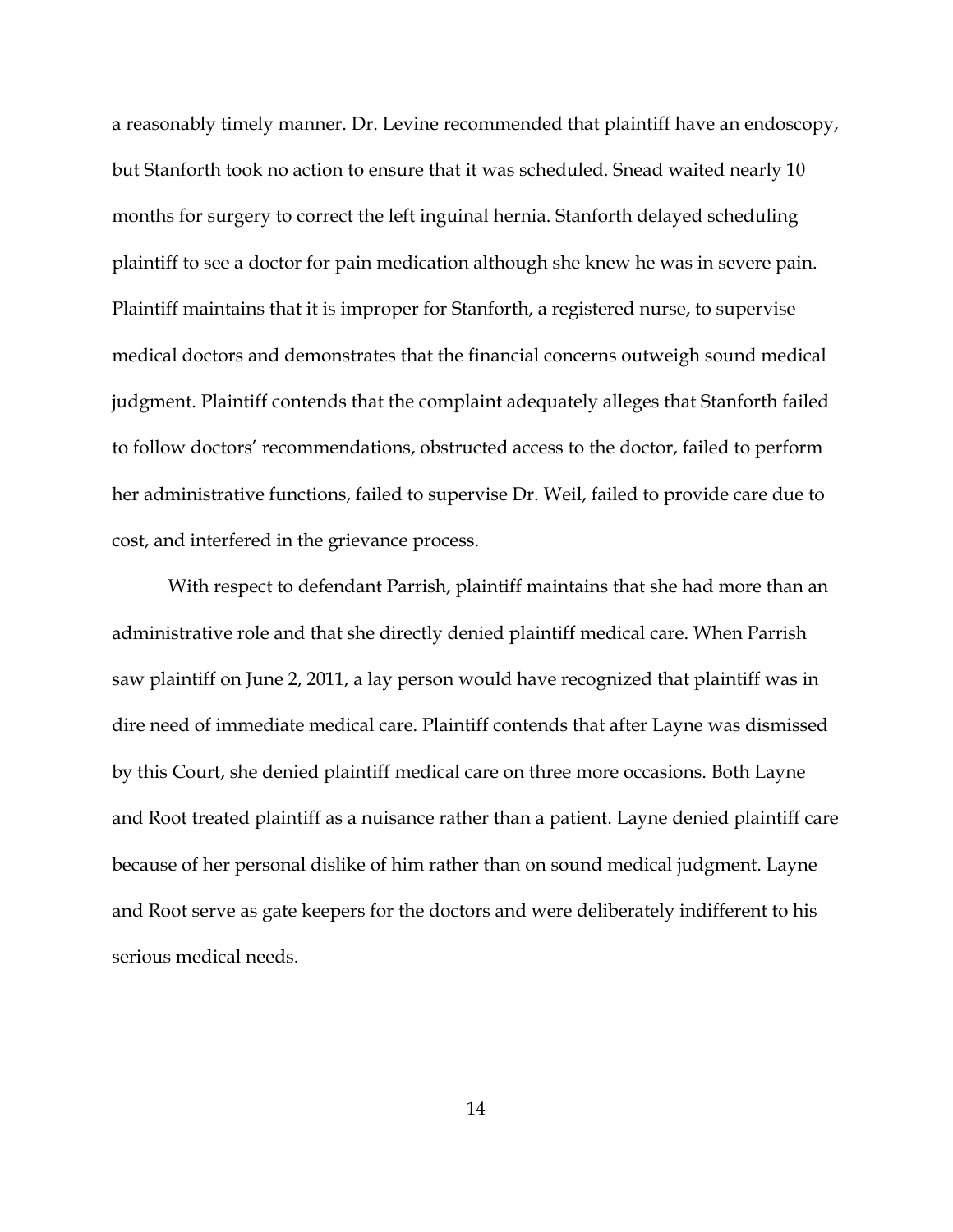a reasonably timely manner. Dr. Levine recommended that plaintiff have an endoscopy, but Stanforth took no action to ensure that it was scheduled. Snead waited nearly 10 months for surgery to correct the left inguinal hernia. Stanforth delayed scheduling plaintiff to see a doctor for pain medication although she knew he was in severe pain. Plaintiff maintains that it is improper for Stanforth, a registered nurse, to supervise medical doctors and demonstrates that the financial concerns outweigh sound medical judgment. Plaintiff contends that the complaint adequately alleges that Stanforth failed to follow doctors' recommendations, obstructed access to the doctor, failed to perform her administrative functions, failed to supervise Dr. Weil, failed to provide care due to cost, and interfered in the grievance process.

With respect to defendant Parrish, plaintiff maintains that she had more than an administrative role and that she directly denied plaintiff medical care. When Parrish saw plaintiff on June 2, 2011, a lay person would have recognized that plaintiff was in dire need of immediate medical care. Plaintiff contends that after Layne was dismissed by this Court, she denied plaintiff medical care on three more occasions. Both Layne and Root treated plaintiff as a nuisance rather than a patient. Layne denied plaintiff care because of her personal dislike of him rather than on sound medical judgment. Layne and Root serve as gate keepers for the doctors and were deliberately indifferent to his serious medical needs.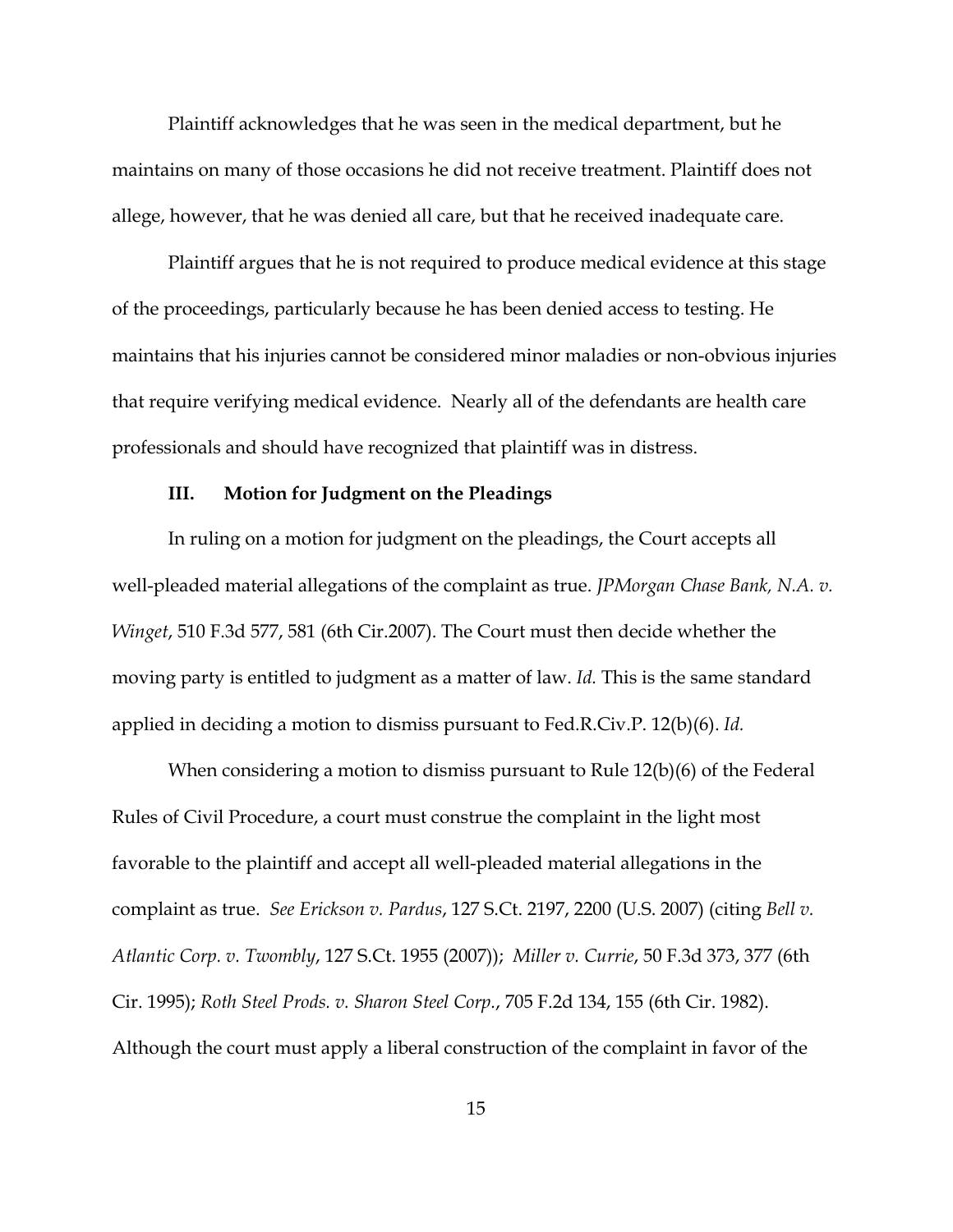Plaintiff acknowledges that he was seen in the medical department, but he maintains on many of those occasions he did not receive treatment. Plaintiff does not allege, however, that he was denied all care, but that he received inadequate care.

Plaintiff argues that he is not required to produce medical evidence at this stage of the proceedings, particularly because he has been denied access to testing. He maintains that his injuries cannot be considered minor maladies or non-obvious injuries that require verifying medical evidence. Nearly all of the defendants are health care professionals and should have recognized that plaintiff was in distress.

### **III. Motion for Judgment on the Pleadings**

In ruling on a motion for judgment on the pleadings, the Court accepts all well-pleaded material allegations of the complaint as true. *JPMorgan Chase Bank, N.A. v. Winget*, 510 F.3d 577, 581 (6th Cir.2007). The Court must then decide whether the moving party is entitled to judgment as a matter of law. *Id.* This is the same standard applied in deciding a motion to dismiss pursuant to Fed.R.Civ.P. 12(b)(6). *Id.*

When considering a motion to dismiss pursuant to Rule 12(b)(6) of the Federal Rules of Civil Procedure, a court must construe the complaint in the light most favorable to the plaintiff and accept all well-pleaded material allegations in the complaint as true. *See Erickson v. Pardus*, 127 S.Ct. 2197, 2200 (U.S. 2007) (citing *Bell v. Atlantic Corp. v. Twombly*, 127 S.Ct. 1955 (2007)); *Miller v. Currie*, 50 F.3d 373, 377 (6th Cir. 1995); *Roth Steel Prods. v. Sharon Steel Corp.*, 705 F.2d 134, 155 (6th Cir. 1982). Although the court must apply a liberal construction of the complaint in favor of the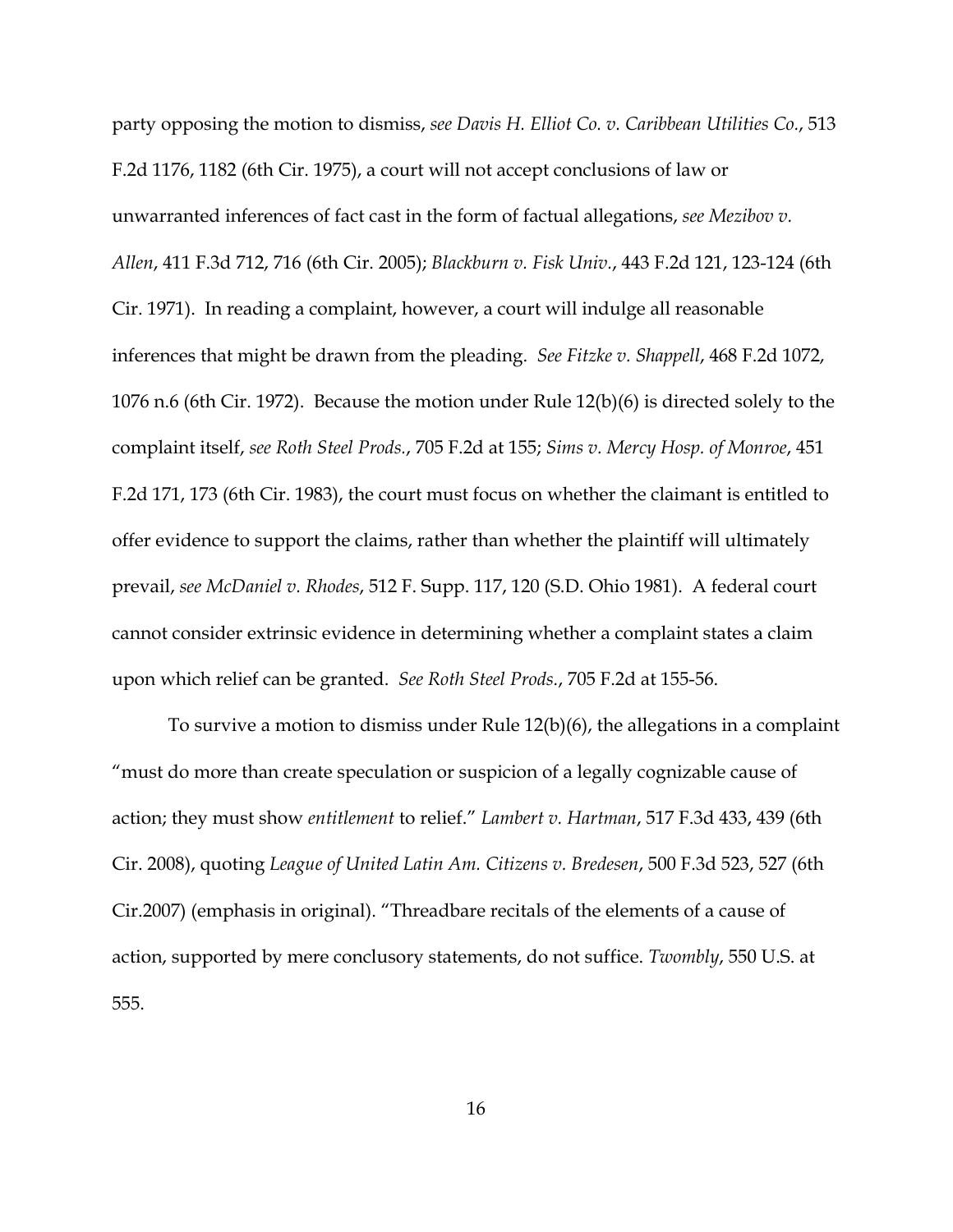party opposing the motion to dismiss, *see Davis H. Elliot Co. v. Caribbean Utilities Co.*, 513 F.2d 1176, 1182 (6th Cir. 1975), a court will not accept conclusions of law or unwarranted inferences of fact cast in the form of factual allegations, *see Mezibov v. Allen*, 411 F.3d 712, 716 (6th Cir. 2005); *Blackburn v. Fisk Univ.*, 443 F.2d 121, 123-124 (6th Cir. 1971). In reading a complaint, however, a court will indulge all reasonable inferences that might be drawn from the pleading. *See Fitzke v. Shappell*, 468 F.2d 1072, 1076 n.6 (6th Cir. 1972). Because the motion under Rule 12(b)(6) is directed solely to the complaint itself, *see Roth Steel Prods.*, 705 F.2d at 155; *Sims v. Mercy Hosp. of Monroe*, 451 F.2d 171, 173 (6th Cir. 1983), the court must focus on whether the claimant is entitled to offer evidence to support the claims, rather than whether the plaintiff will ultimately prevail, *see McDaniel v. Rhodes*, 512 F. Supp. 117, 120 (S.D. Ohio 1981). A federal court cannot consider extrinsic evidence in determining whether a complaint states a claim upon which relief can be granted. *See Roth Steel Prods.*, 705 F.2d at 155-56.

To survive a motion to dismiss under Rule 12(b)(6), the allegations in a complaint "must do more than create speculation or suspicion of a legally cognizable cause of action; they must show *entitlement* to relief." *Lambert v. Hartman*, 517 F.3d 433, 439 (6th Cir. 2008), quoting *League of United Latin Am. Citizens v. Bredesen*, 500 F.3d 523, 527 (6th Cir.2007) (emphasis in original). "Threadbare recitals of the elements of a cause of action, supported by mere conclusory statements, do not suffice. *Twombly*, 550 U.S. at 555.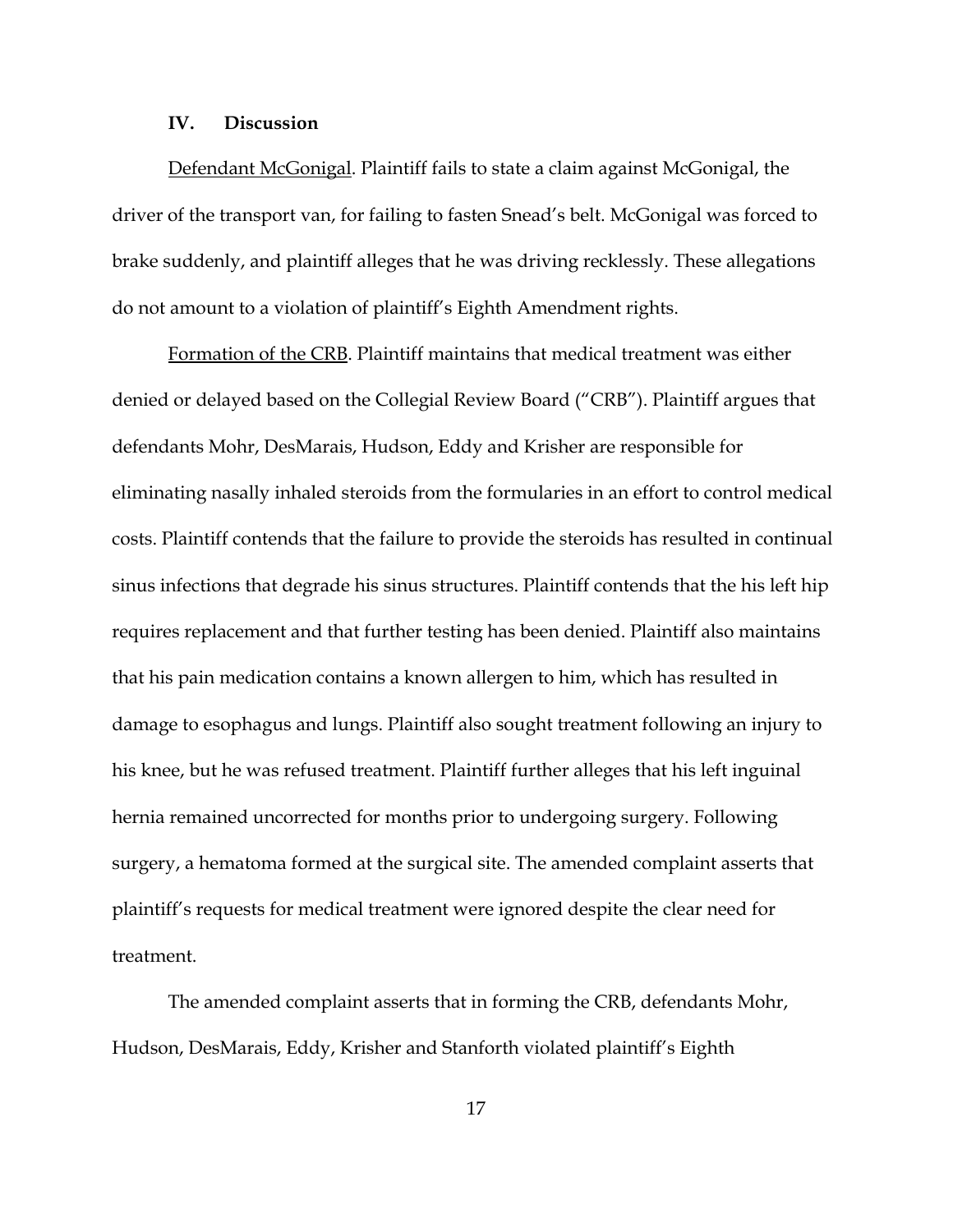#### **IV. Discussion**

Defendant McGonigal. Plaintiff fails to state a claim against McGonigal, the driver of the transport van, for failing to fasten Snead's belt. McGonigal was forced to brake suddenly, and plaintiff alleges that he was driving recklessly. These allegations do not amount to a violation of plaintiff's Eighth Amendment rights.

Formation of the CRB. Plaintiff maintains that medical treatment was either denied or delayed based on the Collegial Review Board ("CRB"). Plaintiff argues that defendants Mohr, DesMarais, Hudson, Eddy and Krisher are responsible for eliminating nasally inhaled steroids from the formularies in an effort to control medical costs. Plaintiff contends that the failure to provide the steroids has resulted in continual sinus infections that degrade his sinus structures. Plaintiff contends that the his left hip requires replacement and that further testing has been denied. Plaintiff also maintains that his pain medication contains a known allergen to him, which has resulted in damage to esophagus and lungs. Plaintiff also sought treatment following an injury to his knee, but he was refused treatment. Plaintiff further alleges that his left inguinal hernia remained uncorrected for months prior to undergoing surgery. Following surgery, a hematoma formed at the surgical site. The amended complaint asserts that plaintiff's requests for medical treatment were ignored despite the clear need for treatment.

The amended complaint asserts that in forming the CRB, defendants Mohr, Hudson, DesMarais, Eddy, Krisher and Stanforth violated plaintiff's Eighth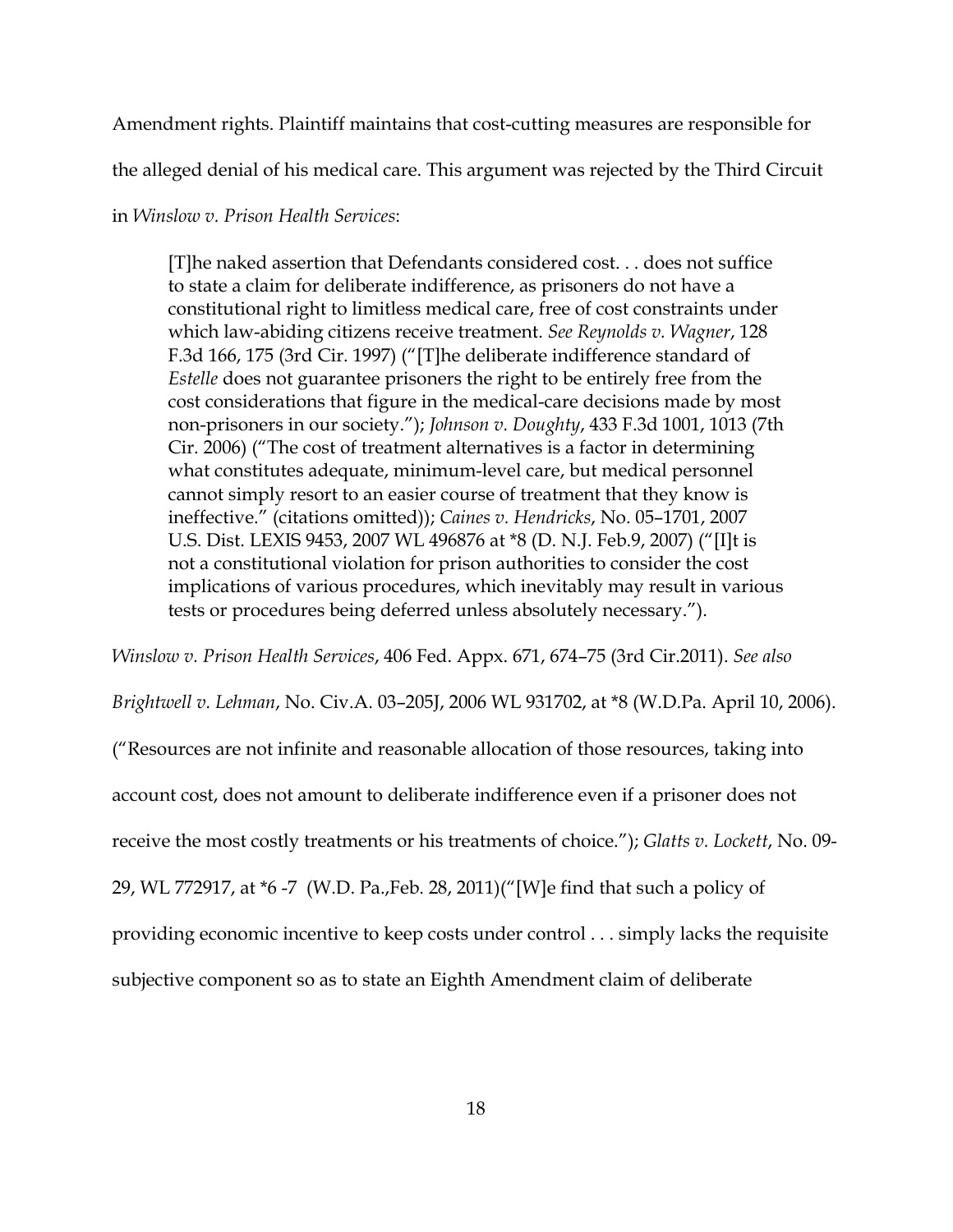Amendment rights. Plaintiff maintains that cost-cutting measures are responsible for

the alleged denial of his medical care. This argument was rejected by the Third Circuit

# in *Winslow v. Prison Health Services*:

[T]he naked assertion that Defendants considered cost. . . does not suffice to state a claim for deliberate indifference, as prisoners do not have a constitutional right to limitless medical care, free of cost constraints under which law-abiding citizens receive treatment. *See Reynolds v. Wagner*, 128 F.3d 166, 175 (3rd Cir. 1997) ("[T]he deliberate indifference standard of *Estelle* does not guarantee prisoners the right to be entirely free from the cost considerations that figure in the medical-care decisions made by most non-prisoners in our society."); *Johnson v. Doughty*, 433 F.3d 1001, 1013 (7th Cir. 2006) ("The cost of treatment alternatives is a factor in determining what constitutes adequate, minimum-level care, but medical personnel cannot simply resort to an easier course of treatment that they know is ineffective." (citations omitted)); *Caines v. Hendricks*, No. 05–1701, 2007 U.S. Dist. LEXIS 9453, 2007 WL 496876 at \*8 (D. N.J. Feb.9, 2007) ("[I]t is not a constitutional violation for prison authorities to consider the cost implications of various procedures, which inevitably may result in various tests or procedures being deferred unless absolutely necessary.").

*Winslow v. Prison Health Services*, 406 Fed. Appx. 671, 674–75 (3rd Cir.2011). *See also*

*Brightwell v. Lehman*, No. Civ.A. 03–205J, 2006 WL 931702, at \*8 (W.D.Pa. April 10, 2006).

("Resources are not infinite and reasonable allocation of those resources, taking into

account cost, does not amount to deliberate indifference even if a prisoner does not

receive the most costly treatments or his treatments of choice."); *Glatts v. Lockett*, No. 09-

29, WL 772917, at \*6 -7 (W.D. Pa.,Feb. 28, 2011)("[W]e find that such a policy of

providing economic incentive to keep costs under control . . . simply lacks the requisite

subjective component so as to state an Eighth Amendment claim of deliberate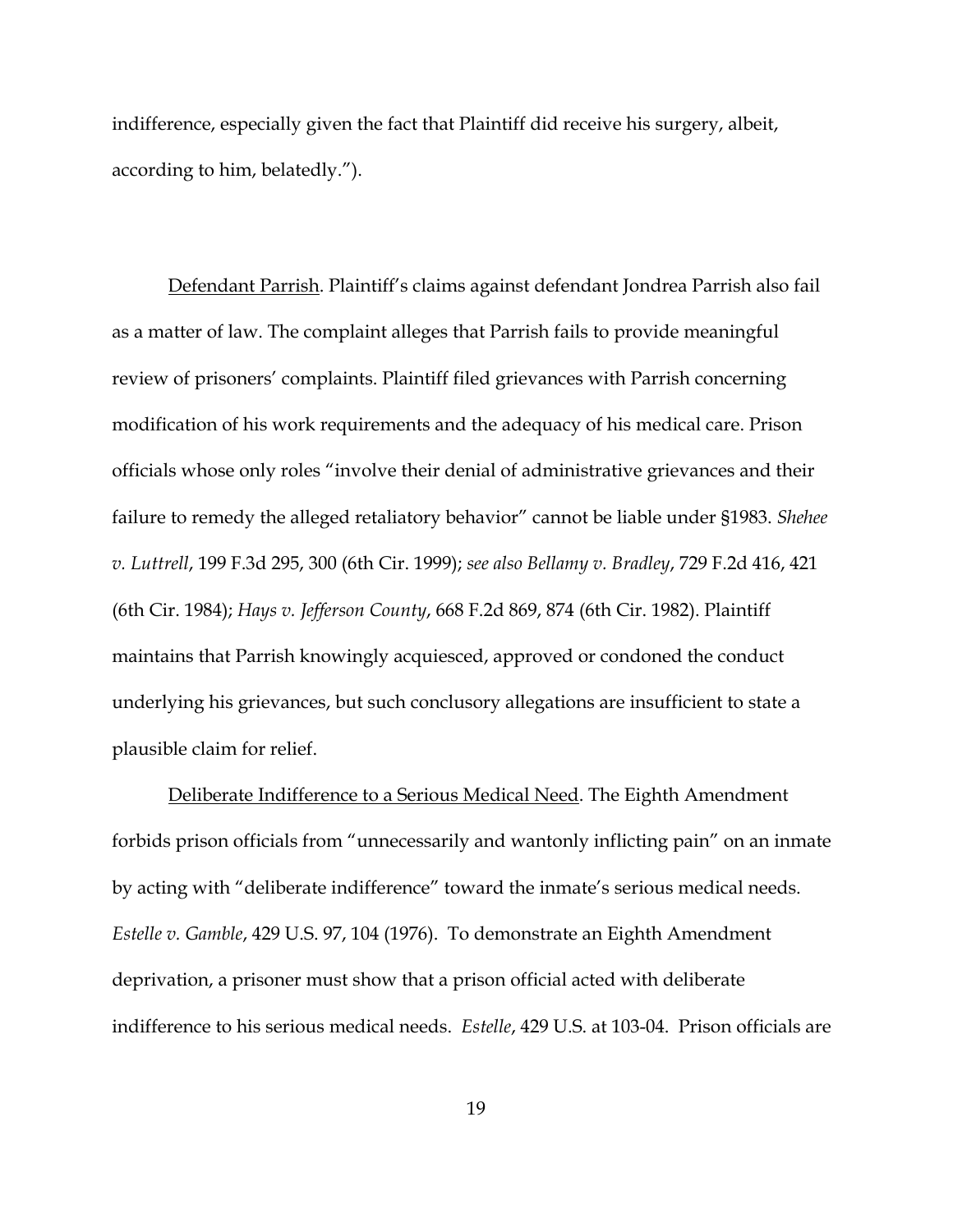indifference, especially given the fact that Plaintiff did receive his surgery, albeit, according to him, belatedly.").

Defendant Parrish. Plaintiff's claims against defendant Jondrea Parrish also fail as a matter of law. The complaint alleges that Parrish fails to provide meaningful review of prisoners' complaints. Plaintiff filed grievances with Parrish concerning modification of his work requirements and the adequacy of his medical care. Prison officials whose only roles "involve their denial of administrative grievances and their failure to remedy the alleged retaliatory behavior" cannot be liable under §1983. *Shehee v. Luttrell*, 199 F.3d 295, 300 (6th Cir. 1999); *see also Bellamy v. Bradley*, 729 F.2d 416, 421 (6th Cir. 1984); *Hays v. Jefferson County*, 668 F.2d 869, 874 (6th Cir. 1982). Plaintiff maintains that Parrish knowingly acquiesced, approved or condoned the conduct underlying his grievances, but such conclusory allegations are insufficient to state a plausible claim for relief.

Deliberate Indifference to a Serious Medical Need. The Eighth Amendment forbids prison officials from "unnecessarily and wantonly inflicting pain" on an inmate by acting with "deliberate indifference" toward the inmate's serious medical needs. *Estelle v. Gamble*, 429 U.S. 97, 104 (1976). To demonstrate an Eighth Amendment deprivation, a prisoner must show that a prison official acted with deliberate indifference to his serious medical needs. *Estelle*, 429 U.S. at 103-04. Prison officials are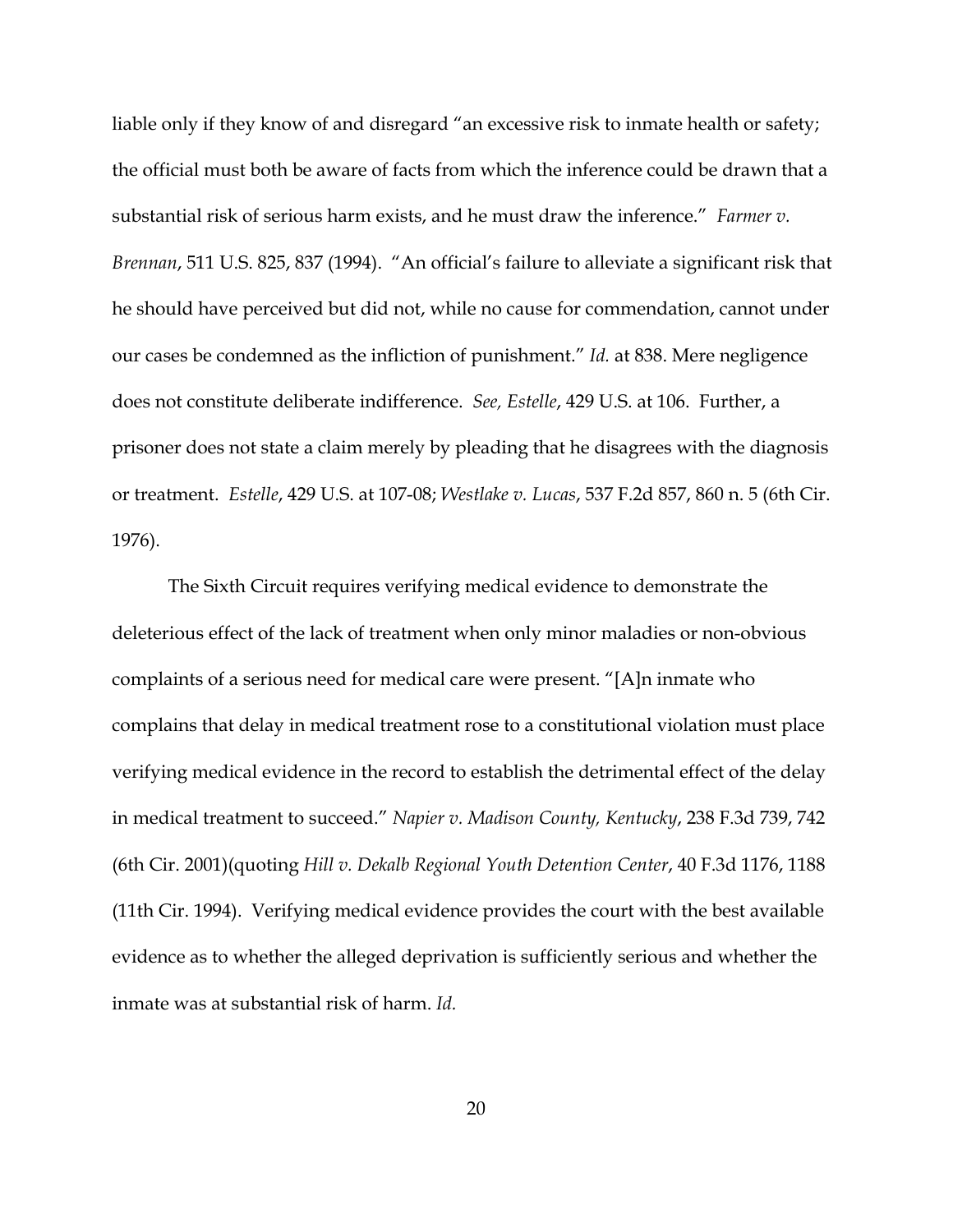liable only if they know of and disregard "an excessive risk to inmate health or safety; the official must both be aware of facts from which the inference could be drawn that a substantial risk of serious harm exists, and he must draw the inference." *Farmer v. Brennan*, 511 U.S. 825, 837 (1994). "An official's failure to alleviate a significant risk that he should have perceived but did not, while no cause for commendation, cannot under our cases be condemned as the infliction of punishment." *Id.* at 838. Mere negligence does not constitute deliberate indifference. *See, Estelle*, 429 U.S. at 106. Further, a prisoner does not state a claim merely by pleading that he disagrees with the diagnosis or treatment. *Estelle*, 429 U.S. at 107-08; *Westlake v. Lucas*, 537 F.2d 857, 860 n. 5 (6th Cir. 1976).

The Sixth Circuit requires verifying medical evidence to demonstrate the deleterious effect of the lack of treatment when only minor maladies or non-obvious complaints of a serious need for medical care were present. "[A]n inmate who complains that delay in medical treatment rose to a constitutional violation must place verifying medical evidence in the record to establish the detrimental effect of the delay in medical treatment to succeed." *Napier v. Madison County, Kentucky*, 238 F.3d 739, 742 (6th Cir. 2001)(quoting *Hill v. Dekalb Regional Youth Detention Center*, 40 F.3d 1176, 1188 (11th Cir. 1994). Verifying medical evidence provides the court with the best available evidence as to whether the alleged deprivation is sufficiently serious and whether the inmate was at substantial risk of harm. *Id.*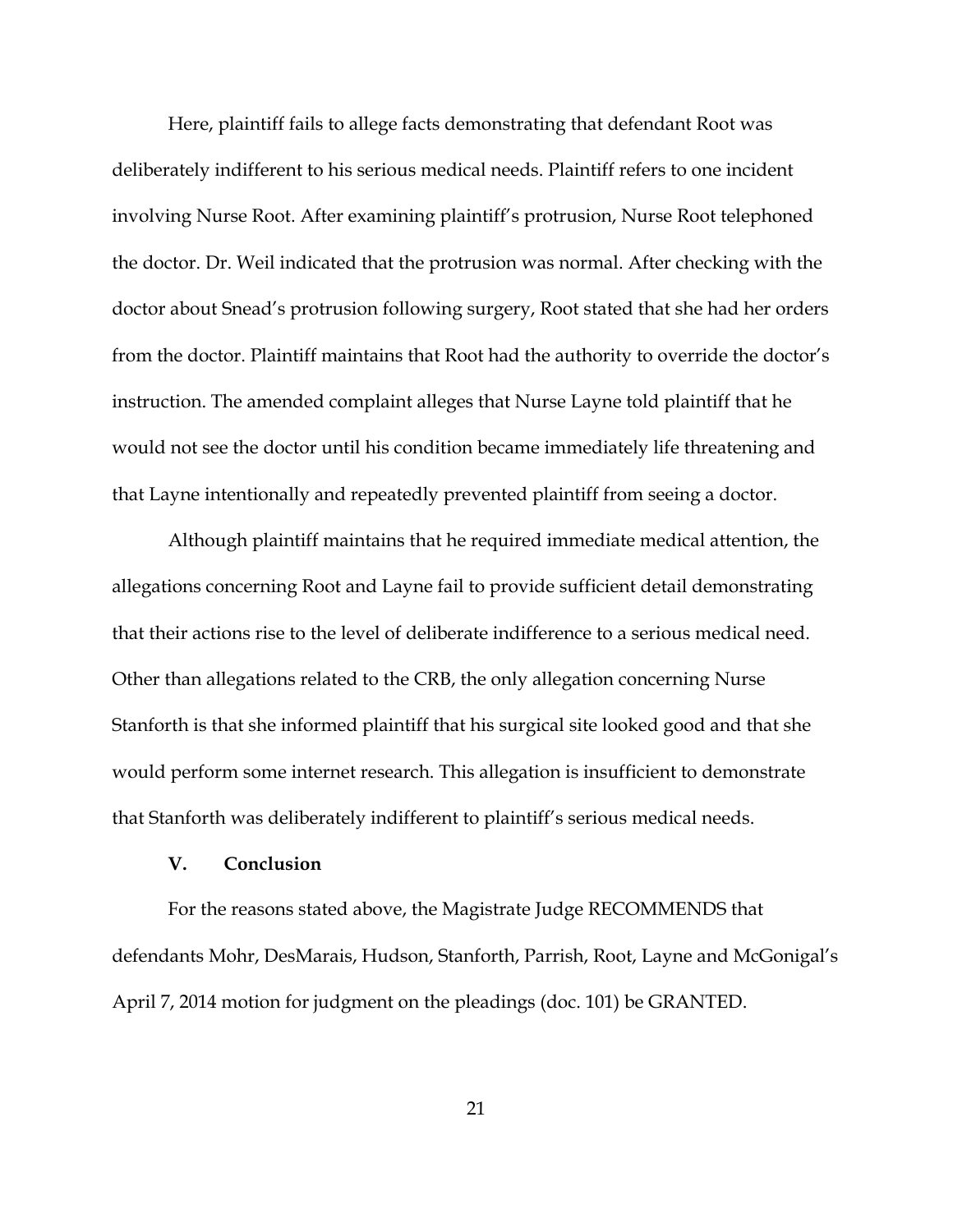Here, plaintiff fails to allege facts demonstrating that defendant Root was deliberately indifferent to his serious medical needs. Plaintiff refers to one incident involving Nurse Root. After examining plaintiff's protrusion, Nurse Root telephoned the doctor. Dr. Weil indicated that the protrusion was normal. After checking with the doctor about Snead's protrusion following surgery, Root stated that she had her orders from the doctor. Plaintiff maintains that Root had the authority to override the doctor's instruction. The amended complaint alleges that Nurse Layne told plaintiff that he would not see the doctor until his condition became immediately life threatening and that Layne intentionally and repeatedly prevented plaintiff from seeing a doctor.

Although plaintiff maintains that he required immediate medical attention, the allegations concerning Root and Layne fail to provide sufficient detail demonstrating that their actions rise to the level of deliberate indifference to a serious medical need. Other than allegations related to the CRB, the only allegation concerning Nurse Stanforth is that she informed plaintiff that his surgical site looked good and that she would perform some internet research. This allegation is insufficient to demonstrate that Stanforth was deliberately indifferent to plaintiff's serious medical needs.

### **V. Conclusion**

For the reasons stated above, the Magistrate Judge RECOMMENDS that defendants Mohr, DesMarais, Hudson, Stanforth, Parrish, Root, Layne and McGonigal's April 7, 2014 motion for judgment on the pleadings (doc. 101) be GRANTED.

21